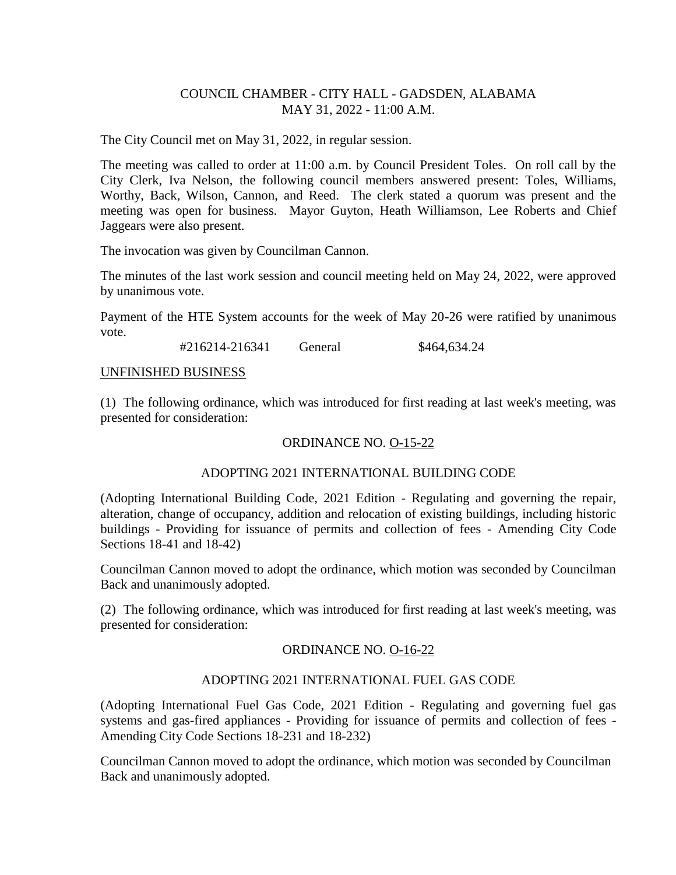# COUNCIL CHAMBER - CITY HALL - GADSDEN, ALABAMA MAY 31, 2022 - 11:00 A.M.

The City Council met on May 31, 2022, in regular session.

The meeting was called to order at 11:00 a.m. by Council President Toles. On roll call by the City Clerk, Iva Nelson, the following council members answered present: Toles, Williams, Worthy, Back, Wilson, Cannon, and Reed. The clerk stated a quorum was present and the meeting was open for business. Mayor Guyton, Heath Williamson, Lee Roberts and Chief Jaggears were also present.

The invocation was given by Councilman Cannon.

The minutes of the last work session and council meeting held on May 24, 2022, were approved by unanimous vote.

Payment of the HTE System accounts for the week of May 20-26 were ratified by unanimous vote.

#216214-216341 General \$464,634.24

#### UNFINISHED BUSINESS

(1) The following ordinance, which was introduced for first reading at last week's meeting, was presented for consideration:

### ORDINANCE NO. O-15-22

### ADOPTING 2021 INTERNATIONAL BUILDING CODE

(Adopting International Building Code, 2021 Edition - Regulating and governing the repair, alteration, change of occupancy, addition and relocation of existing buildings, including historic buildings - Providing for issuance of permits and collection of fees - Amending City Code Sections 18-41 and 18-42)

Councilman Cannon moved to adopt the ordinance, which motion was seconded by Councilman Back and unanimously adopted.

(2) The following ordinance, which was introduced for first reading at last week's meeting, was presented for consideration:

### ORDINANCE NO. O-16-22

### ADOPTING 2021 INTERNATIONAL FUEL GAS CODE

(Adopting International Fuel Gas Code, 2021 Edition - Regulating and governing fuel gas systems and gas-fired appliances - Providing for issuance of permits and collection of fees - Amending City Code Sections 18-231 and 18-232)

Councilman Cannon moved to adopt the ordinance, which motion was seconded by Councilman Back and unanimously adopted.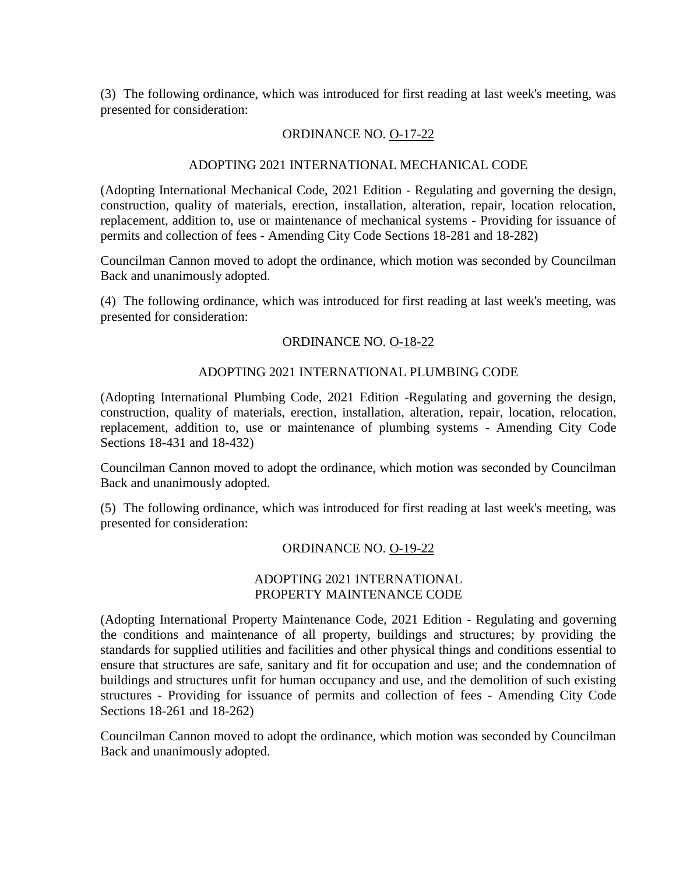(3) The following ordinance, which was introduced for first reading at last week's meeting, was presented for consideration:

### ORDINANCE NO. O-17-22

# ADOPTING 2021 INTERNATIONAL MECHANICAL CODE

(Adopting International Mechanical Code, 2021 Edition - Regulating and governing the design, construction, quality of materials, erection, installation, alteration, repair, location relocation, replacement, addition to, use or maintenance of mechanical systems - Providing for issuance of permits and collection of fees - Amending City Code Sections 18-281 and 18-282)

Councilman Cannon moved to adopt the ordinance, which motion was seconded by Councilman Back and unanimously adopted.

(4) The following ordinance, which was introduced for first reading at last week's meeting, was presented for consideration:

### ORDINANCE NO. O-18-22

### ADOPTING 2021 INTERNATIONAL PLUMBING CODE

(Adopting International Plumbing Code, 2021 Edition -Regulating and governing the design, construction, quality of materials, erection, installation, alteration, repair, location, relocation, replacement, addition to, use or maintenance of plumbing systems - Amending City Code Sections 18-431 and 18-432)

Councilman Cannon moved to adopt the ordinance, which motion was seconded by Councilman Back and unanimously adopted.

(5) The following ordinance, which was introduced for first reading at last week's meeting, was presented for consideration:

### ORDINANCE NO. O-19-22

#### ADOPTING 2021 INTERNATIONAL PROPERTY MAINTENANCE CODE

(Adopting International Property Maintenance Code, 2021 Edition - Regulating and governing the conditions and maintenance of all property, buildings and structures; by providing the standards for supplied utilities and facilities and other physical things and conditions essential to ensure that structures are safe, sanitary and fit for occupation and use; and the condemnation of buildings and structures unfit for human occupancy and use, and the demolition of such existing structures - Providing for issuance of permits and collection of fees - Amending City Code Sections 18-261 and 18-262)

Councilman Cannon moved to adopt the ordinance, which motion was seconded by Councilman Back and unanimously adopted.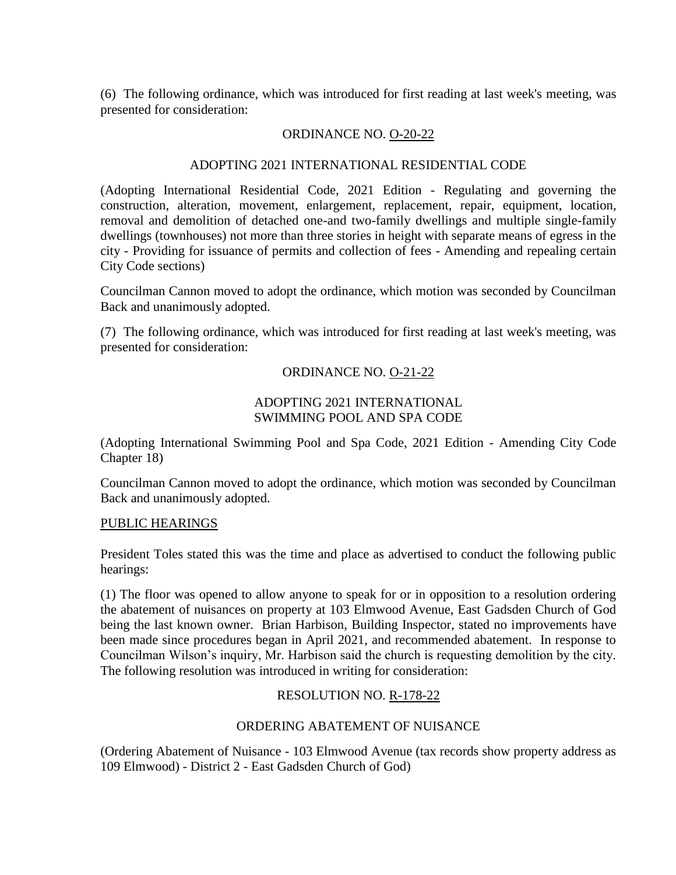(6) The following ordinance, which was introduced for first reading at last week's meeting, was presented for consideration:

### ORDINANCE NO. O-20-22

### ADOPTING 2021 INTERNATIONAL RESIDENTIAL CODE

(Adopting International Residential Code, 2021 Edition - Regulating and governing the construction, alteration, movement, enlargement, replacement, repair, equipment, location, removal and demolition of detached one-and two-family dwellings and multiple single-family dwellings (townhouses) not more than three stories in height with separate means of egress in the city - Providing for issuance of permits and collection of fees - Amending and repealing certain City Code sections)

Councilman Cannon moved to adopt the ordinance, which motion was seconded by Councilman Back and unanimously adopted.

(7) The following ordinance, which was introduced for first reading at last week's meeting, was presented for consideration:

# ORDINANCE NO. O-21-22

# ADOPTING 2021 INTERNATIONAL SWIMMING POOL AND SPA CODE

(Adopting International Swimming Pool and Spa Code, 2021 Edition - Amending City Code Chapter 18)

Councilman Cannon moved to adopt the ordinance, which motion was seconded by Councilman Back and unanimously adopted.

### PUBLIC HEARINGS

President Toles stated this was the time and place as advertised to conduct the following public hearings:

(1) The floor was opened to allow anyone to speak for or in opposition to a resolution ordering the abatement of nuisances on property at 103 Elmwood Avenue, East Gadsden Church of God being the last known owner. Brian Harbison, Building Inspector, stated no improvements have been made since procedures began in April 2021, and recommended abatement. In response to Councilman Wilson's inquiry, Mr. Harbison said the church is requesting demolition by the city. The following resolution was introduced in writing for consideration:

# RESOLUTION NO. R-178-22

### ORDERING ABATEMENT OF NUISANCE

(Ordering Abatement of Nuisance - 103 Elmwood Avenue (tax records show property address as 109 Elmwood) - District 2 - East Gadsden Church of God)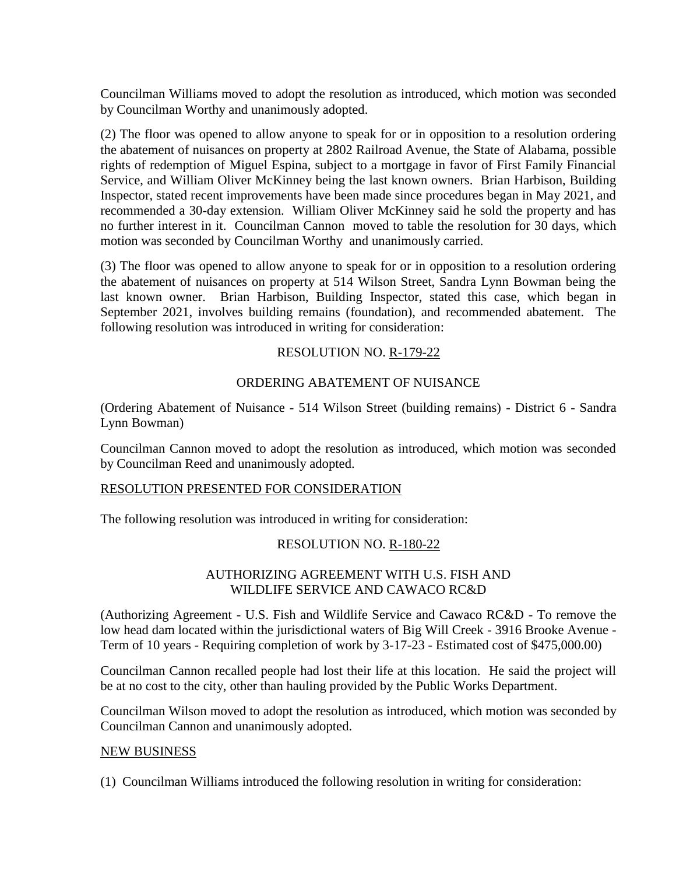Councilman Williams moved to adopt the resolution as introduced, which motion was seconded by Councilman Worthy and unanimously adopted.

(2) The floor was opened to allow anyone to speak for or in opposition to a resolution ordering the abatement of nuisances on property at 2802 Railroad Avenue, the State of Alabama, possible rights of redemption of Miguel Espina, subject to a mortgage in favor of First Family Financial Service, and William Oliver McKinney being the last known owners. Brian Harbison, Building Inspector, stated recent improvements have been made since procedures began in May 2021, and recommended a 30-day extension. William Oliver McKinney said he sold the property and has no further interest in it. Councilman Cannon moved to table the resolution for 30 days, which motion was seconded by Councilman Worthy and unanimously carried.

(3) The floor was opened to allow anyone to speak for or in opposition to a resolution ordering the abatement of nuisances on property at 514 Wilson Street, Sandra Lynn Bowman being the last known owner. Brian Harbison, Building Inspector, stated this case, which began in September 2021, involves building remains (foundation), and recommended abatement. The following resolution was introduced in writing for consideration:

### RESOLUTION NO. R-179-22

# ORDERING ABATEMENT OF NUISANCE

(Ordering Abatement of Nuisance - 514 Wilson Street (building remains) - District 6 - Sandra Lynn Bowman)

Councilman Cannon moved to adopt the resolution as introduced, which motion was seconded by Councilman Reed and unanimously adopted.

### RESOLUTION PRESENTED FOR CONSIDERATION

The following resolution was introduced in writing for consideration:

### RESOLUTION NO. R-180-22

# AUTHORIZING AGREEMENT WITH U.S. FISH AND WILDLIFE SERVICE AND CAWACO RC&D

(Authorizing Agreement - U.S. Fish and Wildlife Service and Cawaco RC&D - To remove the low head dam located within the jurisdictional waters of Big Will Creek - 3916 Brooke Avenue - Term of 10 years - Requiring completion of work by 3-17-23 - Estimated cost of \$475,000.00)

Councilman Cannon recalled people had lost their life at this location. He said the project will be at no cost to the city, other than hauling provided by the Public Works Department.

Councilman Wilson moved to adopt the resolution as introduced, which motion was seconded by Councilman Cannon and unanimously adopted.

### NEW BUSINESS

(1) Councilman Williams introduced the following resolution in writing for consideration: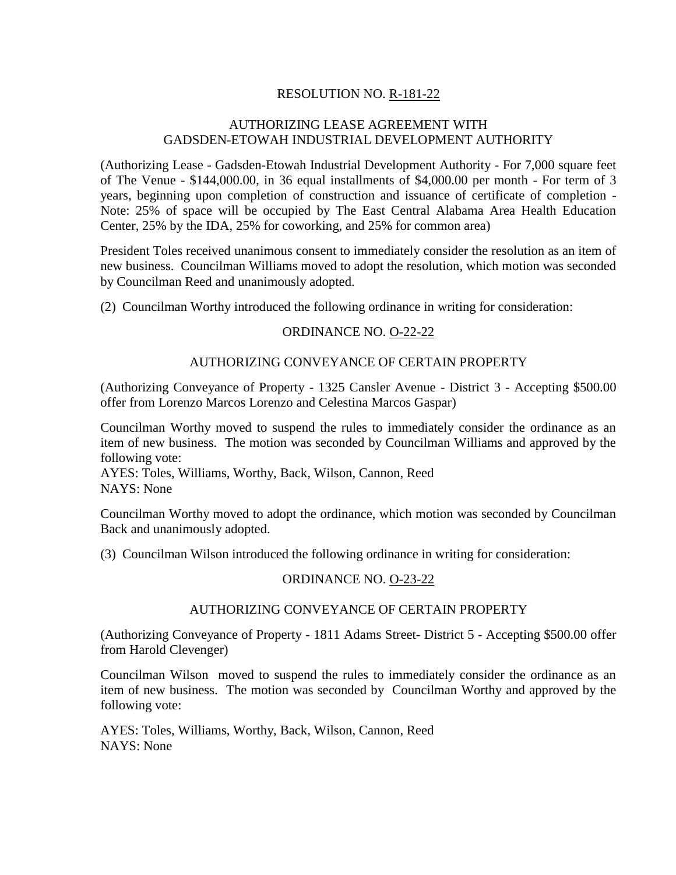# RESOLUTION NO. R-181-22

# AUTHORIZING LEASE AGREEMENT WITH GADSDEN-ETOWAH INDUSTRIAL DEVELOPMENT AUTHORITY

(Authorizing Lease - Gadsden-Etowah Industrial Development Authority - For 7,000 square feet of The Venue - \$144,000.00, in 36 equal installments of \$4,000.00 per month - For term of 3 years, beginning upon completion of construction and issuance of certificate of completion - Note: 25% of space will be occupied by The East Central Alabama Area Health Education Center, 25% by the IDA, 25% for coworking, and 25% for common area)

President Toles received unanimous consent to immediately consider the resolution as an item of new business. Councilman Williams moved to adopt the resolution, which motion was seconded by Councilman Reed and unanimously adopted.

(2) Councilman Worthy introduced the following ordinance in writing for consideration:

### ORDINANCE NO. O-22-22

#### AUTHORIZING CONVEYANCE OF CERTAIN PROPERTY

(Authorizing Conveyance of Property - 1325 Cansler Avenue - District 3 - Accepting \$500.00 offer from Lorenzo Marcos Lorenzo and Celestina Marcos Gaspar)

Councilman Worthy moved to suspend the rules to immediately consider the ordinance as an item of new business. The motion was seconded by Councilman Williams and approved by the following vote:

AYES: Toles, Williams, Worthy, Back, Wilson, Cannon, Reed NAYS: None

Councilman Worthy moved to adopt the ordinance, which motion was seconded by Councilman Back and unanimously adopted.

(3) Councilman Wilson introduced the following ordinance in writing for consideration:

#### ORDINANCE NO. O-23-22

#### AUTHORIZING CONVEYANCE OF CERTAIN PROPERTY

(Authorizing Conveyance of Property - 1811 Adams Street- District 5 - Accepting \$500.00 offer from Harold Clevenger)

Councilman Wilson moved to suspend the rules to immediately consider the ordinance as an item of new business. The motion was seconded by Councilman Worthy and approved by the following vote:

AYES: Toles, Williams, Worthy, Back, Wilson, Cannon, Reed NAYS: None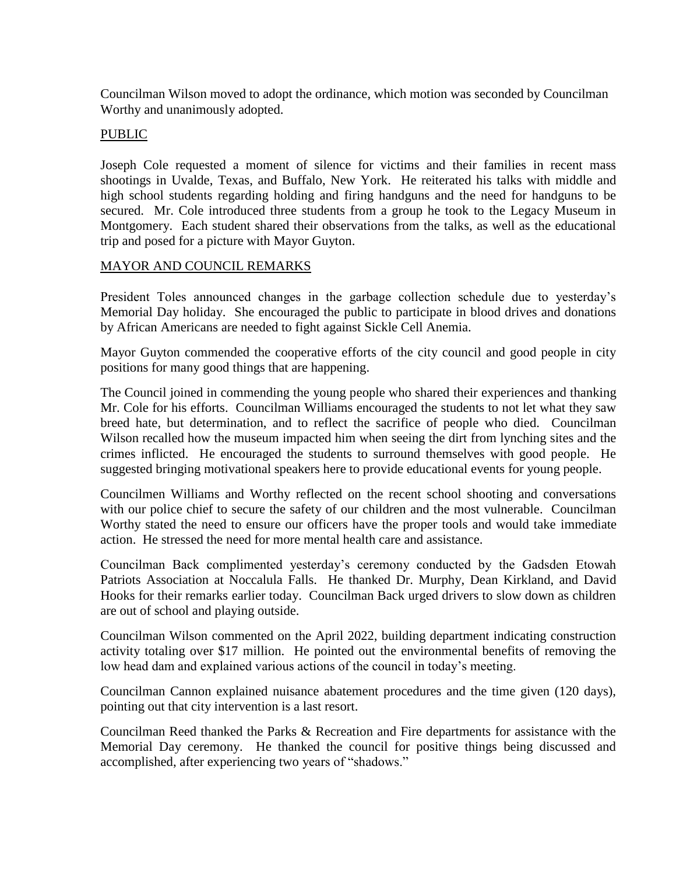Councilman Wilson moved to adopt the ordinance, which motion was seconded by Councilman Worthy and unanimously adopted.

#### PUBLIC

Joseph Cole requested a moment of silence for victims and their families in recent mass shootings in Uvalde, Texas, and Buffalo, New York. He reiterated his talks with middle and high school students regarding holding and firing handguns and the need for handguns to be secured. Mr. Cole introduced three students from a group he took to the Legacy Museum in Montgomery. Each student shared their observations from the talks, as well as the educational trip and posed for a picture with Mayor Guyton.

### MAYOR AND COUNCIL REMARKS

President Toles announced changes in the garbage collection schedule due to yesterday's Memorial Day holiday. She encouraged the public to participate in blood drives and donations by African Americans are needed to fight against Sickle Cell Anemia.

Mayor Guyton commended the cooperative efforts of the city council and good people in city positions for many good things that are happening.

The Council joined in commending the young people who shared their experiences and thanking Mr. Cole for his efforts. Councilman Williams encouraged the students to not let what they saw breed hate, but determination, and to reflect the sacrifice of people who died. Councilman Wilson recalled how the museum impacted him when seeing the dirt from lynching sites and the crimes inflicted. He encouraged the students to surround themselves with good people. He suggested bringing motivational speakers here to provide educational events for young people.

Councilmen Williams and Worthy reflected on the recent school shooting and conversations with our police chief to secure the safety of our children and the most vulnerable. Councilman Worthy stated the need to ensure our officers have the proper tools and would take immediate action. He stressed the need for more mental health care and assistance.

Councilman Back complimented yesterday's ceremony conducted by the Gadsden Etowah Patriots Association at Noccalula Falls. He thanked Dr. Murphy, Dean Kirkland, and David Hooks for their remarks earlier today. Councilman Back urged drivers to slow down as children are out of school and playing outside.

Councilman Wilson commented on the April 2022, building department indicating construction activity totaling over \$17 million. He pointed out the environmental benefits of removing the low head dam and explained various actions of the council in today's meeting.

Councilman Cannon explained nuisance abatement procedures and the time given (120 days), pointing out that city intervention is a last resort.

Councilman Reed thanked the Parks & Recreation and Fire departments for assistance with the Memorial Day ceremony. He thanked the council for positive things being discussed and accomplished, after experiencing two years of "shadows."